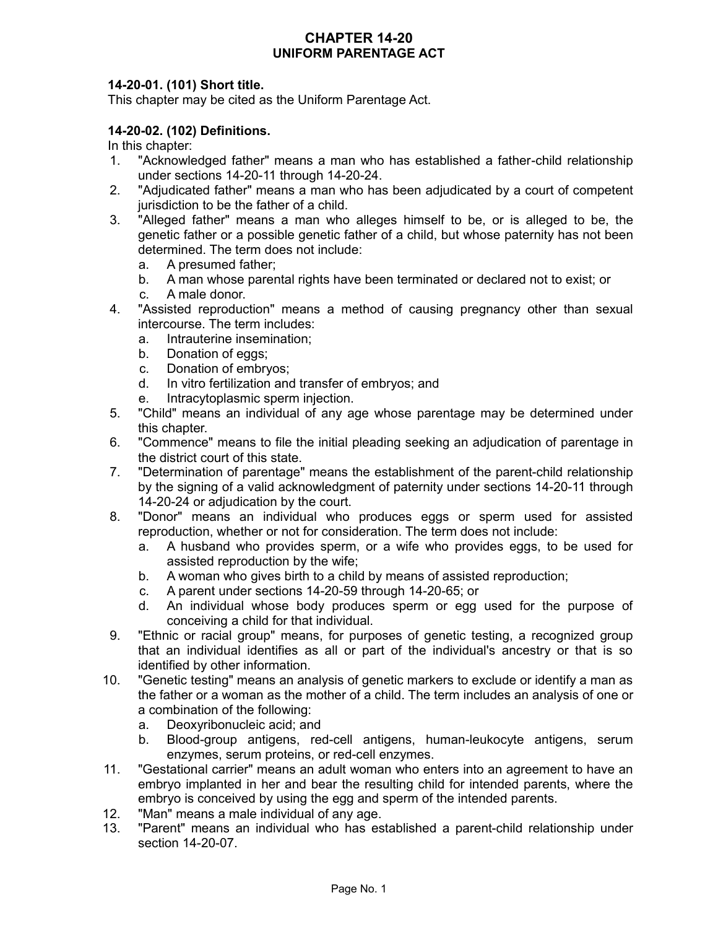## **CHAPTER 14-20 UNIFORM PARENTAGE ACT**

## **14-20-01. (101) Short title.**

This chapter may be cited as the Uniform Parentage Act.

## **14-20-02. (102) Definitions.**

In this chapter:

- 1. "Acknowledged father" means a man who has established a father-child relationship under sections 14-20-11 through 14-20-24.
- 2. "Adjudicated father" means a man who has been adjudicated by a court of competent jurisdiction to be the father of a child.
- 3. "Alleged father" means a man who alleges himself to be, or is alleged to be, the genetic father or a possible genetic father of a child, but whose paternity has not been determined. The term does not include:
	- a. A presumed father;
	- b. A man whose parental rights have been terminated or declared not to exist; or
	- c. A male donor.
- 4. "Assisted reproduction" means a method of causing pregnancy other than sexual intercourse. The term includes:
	- a. Intrauterine insemination;
	- b. Donation of eggs;
	- c. Donation of embryos;
	- d. In vitro fertilization and transfer of embryos; and
	- e. Intracytoplasmic sperm injection.
- 5. "Child" means an individual of any age whose parentage may be determined under this chapter.
- 6. "Commence" means to file the initial pleading seeking an adjudication of parentage in the district court of this state.
- 7. "Determination of parentage" means the establishment of the parent-child relationship by the signing of a valid acknowledgment of paternity under sections 14-20-11 through 14-20-24 or adjudication by the court.
- 8. "Donor" means an individual who produces eggs or sperm used for assisted reproduction, whether or not for consideration. The term does not include:
	- a. A husband who provides sperm, or a wife who provides eggs, to be used for assisted reproduction by the wife;
	- b. A woman who gives birth to a child by means of assisted reproduction;
	- c. A parent under sections 14-20-59 through 14-20-65; or
	- d. An individual whose body produces sperm or egg used for the purpose of conceiving a child for that individual.
- 9. "Ethnic or racial group" means, for purposes of genetic testing, a recognized group that an individual identifies as all or part of the individual's ancestry or that is so identified by other information.
- 10. "Genetic testing" means an analysis of genetic markers to exclude or identify a man as the father or a woman as the mother of a child. The term includes an analysis of one or a combination of the following:
	- a. Deoxyribonucleic acid; and
	- b. Blood-group antigens, red-cell antigens, human-leukocyte antigens, serum enzymes, serum proteins, or red-cell enzymes.
- 11. "Gestational carrier" means an adult woman who enters into an agreement to have an embryo implanted in her and bear the resulting child for intended parents, where the embryo is conceived by using the egg and sperm of the intended parents.
- 12. "Man" means a male individual of any age.
- 13. "Parent" means an individual who has established a parent-child relationship under section 14-20-07.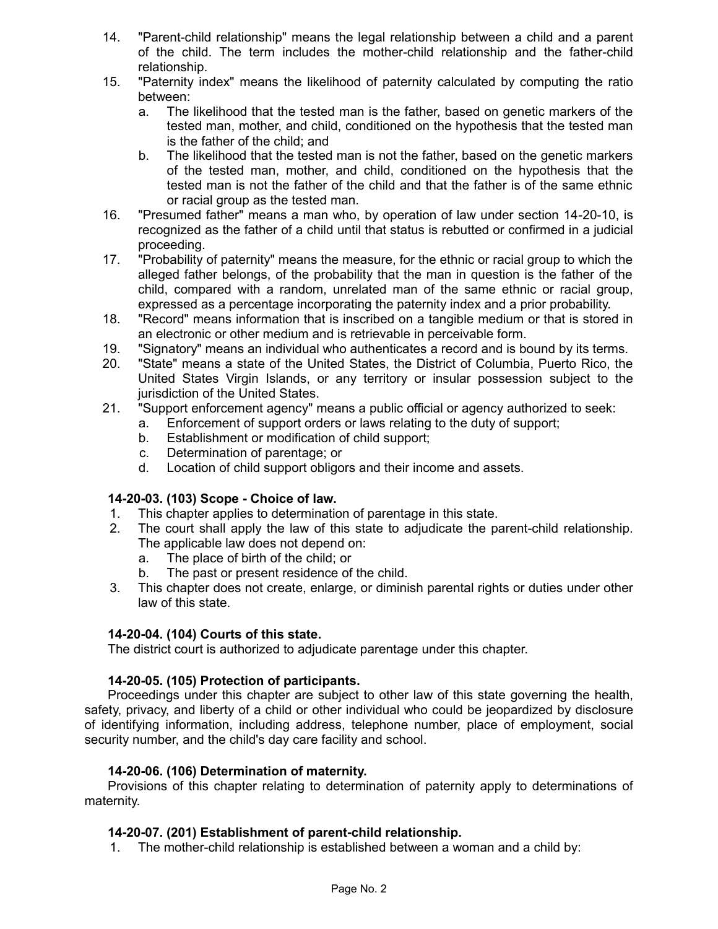- 14. "Parent-child relationship" means the legal relationship between a child and a parent of the child. The term includes the mother-child relationship and the father-child relationship.
- 15. "Paternity index" means the likelihood of paternity calculated by computing the ratio between:
	- a. The likelihood that the tested man is the father, based on genetic markers of the tested man, mother, and child, conditioned on the hypothesis that the tested man is the father of the child; and
	- b. The likelihood that the tested man is not the father, based on the genetic markers of the tested man, mother, and child, conditioned on the hypothesis that the tested man is not the father of the child and that the father is of the same ethnic or racial group as the tested man.
- 16. "Presumed father" means a man who, by operation of law under section 14-20-10, is recognized as the father of a child until that status is rebutted or confirmed in a judicial proceeding.
- 17. "Probability of paternity" means the measure, for the ethnic or racial group to which the alleged father belongs, of the probability that the man in question is the father of the child, compared with a random, unrelated man of the same ethnic or racial group, expressed as a percentage incorporating the paternity index and a prior probability.
- 18. "Record" means information that is inscribed on a tangible medium or that is stored in an electronic or other medium and is retrievable in perceivable form.
- 19. "Signatory" means an individual who authenticates a record and is bound by its terms.
- 20. "State" means a state of the United States, the District of Columbia, Puerto Rico, the United States Virgin Islands, or any territory or insular possession subject to the jurisdiction of the United States.
- 21. "Support enforcement agency" means a public official or agency authorized to seek:
	- a. Enforcement of support orders or laws relating to the duty of support;
	- b. Establishment or modification of child support;
	- c. Determination of parentage; or
	- d. Location of child support obligors and their income and assets.

## **14-20-03. (103) Scope - Choice of law.**

- 1. This chapter applies to determination of parentage in this state.
- 2. The court shall apply the law of this state to adjudicate the parent-child relationship. The applicable law does not depend on:
	- a. The place of birth of the child; or
	- b. The past or present residence of the child.
- 3. This chapter does not create, enlarge, or diminish parental rights or duties under other law of this state.

## **14-20-04. (104) Courts of this state.**

The district court is authorized to adjudicate parentage under this chapter.

# **14-20-05. (105) Protection of participants.**

Proceedings under this chapter are subject to other law of this state governing the health, safety, privacy, and liberty of a child or other individual who could be jeopardized by disclosure of identifying information, including address, telephone number, place of employment, social security number, and the child's day care facility and school.

## **14-20-06. (106) Determination of maternity.**

Provisions of this chapter relating to determination of paternity apply to determinations of maternity.

## **14-20-07. (201) Establishment of parent-child relationship.**

1. The mother-child relationship is established between a woman and a child by: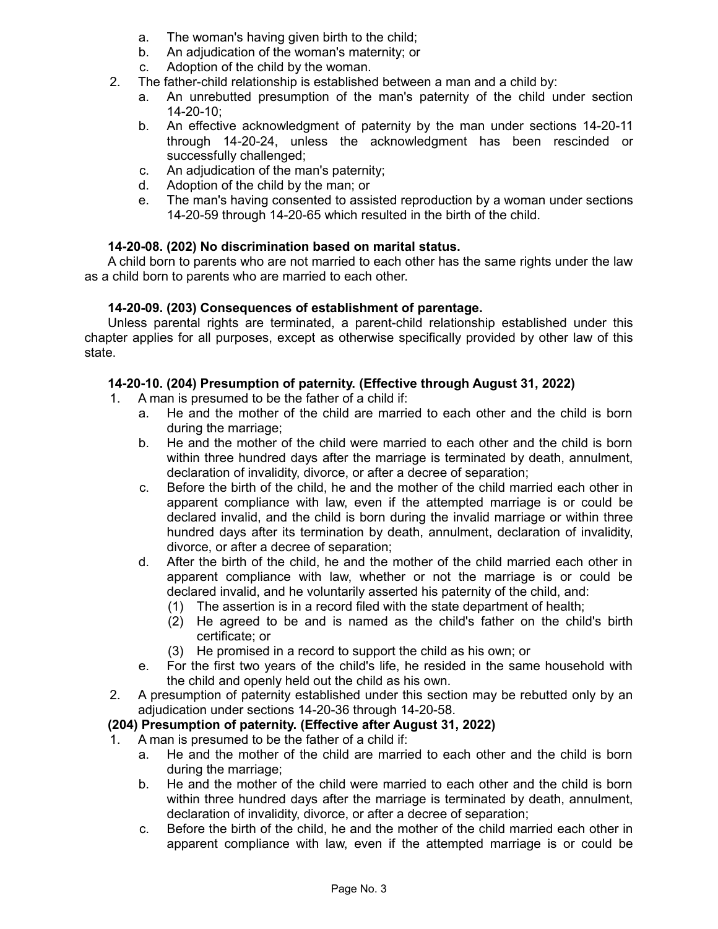- a. The woman's having given birth to the child;
- b. An adjudication of the woman's maternity; or
- c. Adoption of the child by the woman.
- 2. The father-child relationship is established between a man and a child by:
	- a. An unrebutted presumption of the man's paternity of the child under section 14-20-10;
	- b. An effective acknowledgment of paternity by the man under sections 14-20-11 through 14-20-24, unless the acknowledgment has been rescinded or successfully challenged;
	- c. An adjudication of the man's paternity;
	- d. Adoption of the child by the man; or
	- e. The man's having consented to assisted reproduction by a woman under sections 14-20-59 through 14-20-65 which resulted in the birth of the child.

## **14-20-08. (202) No discrimination based on marital status.**

A child born to parents who are not married to each other has the same rights under the law as a child born to parents who are married to each other.

## **14-20-09. (203) Consequences of establishment of parentage.**

Unless parental rights are terminated, a parent-child relationship established under this chapter applies for all purposes, except as otherwise specifically provided by other law of this state.

## **14-20-10. (204) Presumption of paternity. (Effective through August 31, 2022)**

- 1. A man is presumed to be the father of a child if:
	- a. He and the mother of the child are married to each other and the child is born during the marriage;
	- b. He and the mother of the child were married to each other and the child is born within three hundred days after the marriage is terminated by death, annulment, declaration of invalidity, divorce, or after a decree of separation;
	- c. Before the birth of the child, he and the mother of the child married each other in apparent compliance with law, even if the attempted marriage is or could be declared invalid, and the child is born during the invalid marriage or within three hundred days after its termination by death, annulment, declaration of invalidity, divorce, or after a decree of separation;
	- d. After the birth of the child, he and the mother of the child married each other in apparent compliance with law, whether or not the marriage is or could be declared invalid, and he voluntarily asserted his paternity of the child, and:
		- (1) The assertion is in a record filed with the state department of health;
		- (2) He agreed to be and is named as the child's father on the child's birth certificate; or
		- (3) He promised in a record to support the child as his own; or
	- e. For the first two years of the child's life, he resided in the same household with the child and openly held out the child as his own.
- 2. A presumption of paternity established under this section may be rebutted only by an adjudication under sections 14-20-36 through 14-20-58.

# **(204) Presumption of paternity. (Effective after August 31, 2022)**

- 1. A man is presumed to be the father of a child if:
	- a. He and the mother of the child are married to each other and the child is born during the marriage;
	- b. He and the mother of the child were married to each other and the child is born within three hundred days after the marriage is terminated by death, annulment, declaration of invalidity, divorce, or after a decree of separation;
	- c. Before the birth of the child, he and the mother of the child married each other in apparent compliance with law, even if the attempted marriage is or could be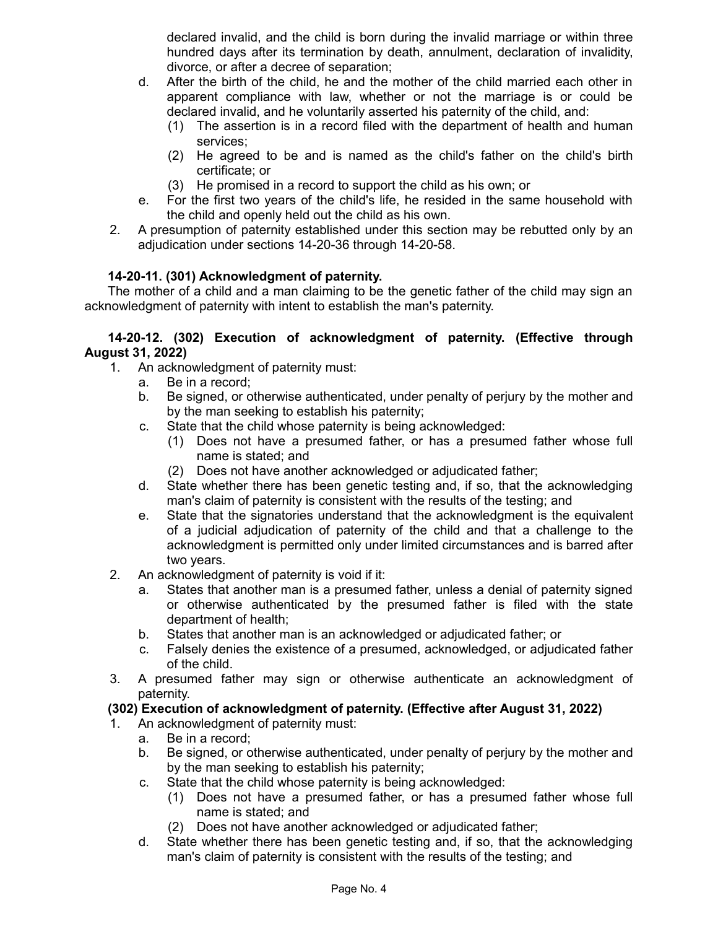declared invalid, and the child is born during the invalid marriage or within three hundred days after its termination by death, annulment, declaration of invalidity, divorce, or after a decree of separation;

- d. After the birth of the child, he and the mother of the child married each other in apparent compliance with law, whether or not the marriage is or could be declared invalid, and he voluntarily asserted his paternity of the child, and:
	- (1) The assertion is in a record filed with the department of health and human services;
	- (2) He agreed to be and is named as the child's father on the child's birth certificate; or
	- (3) He promised in a record to support the child as his own; or
- e. For the first two years of the child's life, he resided in the same household with the child and openly held out the child as his own.
- 2. A presumption of paternity established under this section may be rebutted only by an adjudication under sections 14-20-36 through 14-20-58.

# **14-20-11. (301) Acknowledgment of paternity.**

The mother of a child and a man claiming to be the genetic father of the child may sign an acknowledgment of paternity with intent to establish the man's paternity.

### **14-20-12. (302) Execution of acknowledgment of paternity. (Effective through August 31, 2022)**

- 1. An acknowledgment of paternity must:
	- a. Be in a record;
	- b. Be signed, or otherwise authenticated, under penalty of perjury by the mother and by the man seeking to establish his paternity;
	- c. State that the child whose paternity is being acknowledged:
		- (1) Does not have a presumed father, or has a presumed father whose full name is stated; and
		- (2) Does not have another acknowledged or adjudicated father;
	- d. State whether there has been genetic testing and, if so, that the acknowledging man's claim of paternity is consistent with the results of the testing; and
	- e. State that the signatories understand that the acknowledgment is the equivalent of a judicial adjudication of paternity of the child and that a challenge to the acknowledgment is permitted only under limited circumstances and is barred after two years.
- 2. An acknowledgment of paternity is void if it:
	- a. States that another man is a presumed father, unless a denial of paternity signed or otherwise authenticated by the presumed father is filed with the state department of health;
	- b. States that another man is an acknowledged or adjudicated father; or
	- c. Falsely denies the existence of a presumed, acknowledged, or adjudicated father of the child.
- 3. A presumed father may sign or otherwise authenticate an acknowledgment of paternity.

## **(302) Execution of acknowledgment of paternity. (Effective after August 31, 2022)**

- 1. An acknowledgment of paternity must:
	- a. Be in a record;
	- b. Be signed, or otherwise authenticated, under penalty of perjury by the mother and by the man seeking to establish his paternity;
	- c. State that the child whose paternity is being acknowledged:
		- (1) Does not have a presumed father, or has a presumed father whose full name is stated; and
		- (2) Does not have another acknowledged or adjudicated father;
	- d. State whether there has been genetic testing and, if so, that the acknowledging man's claim of paternity is consistent with the results of the testing; and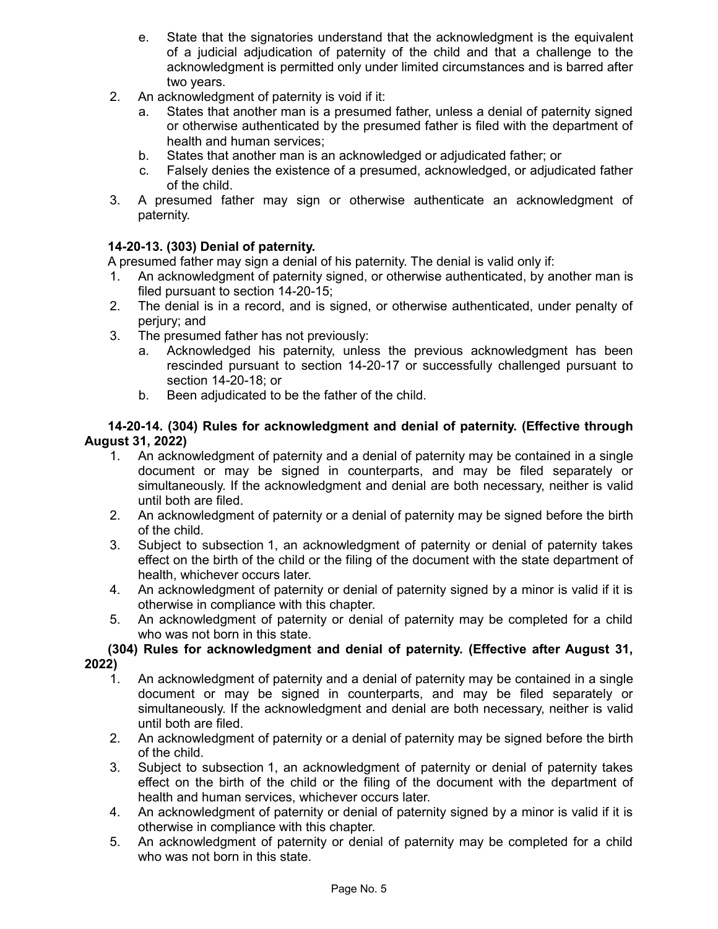- e. State that the signatories understand that the acknowledgment is the equivalent of a judicial adjudication of paternity of the child and that a challenge to the acknowledgment is permitted only under limited circumstances and is barred after two years.
- 2. An acknowledgment of paternity is void if it:
	- a. States that another man is a presumed father, unless a denial of paternity signed or otherwise authenticated by the presumed father is filed with the department of health and human services;
	- b. States that another man is an acknowledged or adjudicated father; or
	- c. Falsely denies the existence of a presumed, acknowledged, or adjudicated father of the child.
- 3. A presumed father may sign or otherwise authenticate an acknowledgment of paternity.

## **14-20-13. (303) Denial of paternity.**

A presumed father may sign a denial of his paternity. The denial is valid only if:

- 1. An acknowledgment of paternity signed, or otherwise authenticated, by another man is filed pursuant to section 14-20-15;
- 2. The denial is in a record, and is signed, or otherwise authenticated, under penalty of perjury; and
- 3. The presumed father has not previously:
	- a. Acknowledged his paternity, unless the previous acknowledgment has been rescinded pursuant to section 14-20-17 or successfully challenged pursuant to section 14-20-18; or
	- b. Been adjudicated to be the father of the child.

### **14-20-14. (304) Rules for acknowledgment and denial of paternity. (Effective through August 31, 2022)**

- 1. An acknowledgment of paternity and a denial of paternity may be contained in a single document or may be signed in counterparts, and may be filed separately or simultaneously. If the acknowledgment and denial are both necessary, neither is valid until both are filed.
- 2. An acknowledgment of paternity or a denial of paternity may be signed before the birth of the child.
- 3. Subject to subsection 1, an acknowledgment of paternity or denial of paternity takes effect on the birth of the child or the filing of the document with the state department of health, whichever occurs later.
- 4. An acknowledgment of paternity or denial of paternity signed by a minor is valid if it is otherwise in compliance with this chapter.
- 5. An acknowledgment of paternity or denial of paternity may be completed for a child who was not born in this state.

## **(304) Rules for acknowledgment and denial of paternity. (Effective after August 31, 2022)**

- 1. An acknowledgment of paternity and a denial of paternity may be contained in a single document or may be signed in counterparts, and may be filed separately or simultaneously. If the acknowledgment and denial are both necessary, neither is valid until both are filed.
- 2. An acknowledgment of paternity or a denial of paternity may be signed before the birth of the child.
- 3. Subject to subsection 1, an acknowledgment of paternity or denial of paternity takes effect on the birth of the child or the filing of the document with the department of health and human services, whichever occurs later.
- 4. An acknowledgment of paternity or denial of paternity signed by a minor is valid if it is otherwise in compliance with this chapter.
- 5. An acknowledgment of paternity or denial of paternity may be completed for a child who was not born in this state.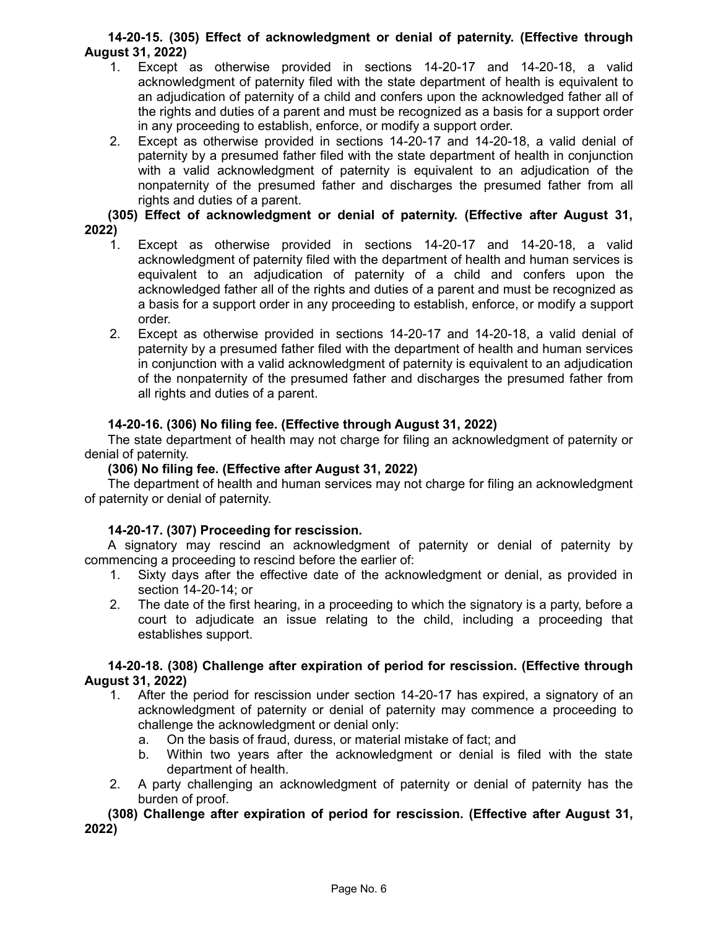## **14-20-15. (305) Effect of acknowledgment or denial of paternity. (Effective through August 31, 2022)**

- 1. Except as otherwise provided in sections 14-20-17 and 14-20-18, a valid acknowledgment of paternity filed with the state department of health is equivalent to an adjudication of paternity of a child and confers upon the acknowledged father all of the rights and duties of a parent and must be recognized as a basis for a support order in any proceeding to establish, enforce, or modify a support order.
- 2. Except as otherwise provided in sections 14-20-17 and 14-20-18, a valid denial of paternity by a presumed father filed with the state department of health in conjunction with a valid acknowledgment of paternity is equivalent to an adjudication of the nonpaternity of the presumed father and discharges the presumed father from all rights and duties of a parent.

**(305) Effect of acknowledgment or denial of paternity. (Effective after August 31, 2022)**

- 1. Except as otherwise provided in sections 14-20-17 and 14-20-18, a valid acknowledgment of paternity filed with the department of health and human services is equivalent to an adjudication of paternity of a child and confers upon the acknowledged father all of the rights and duties of a parent and must be recognized as a basis for a support order in any proceeding to establish, enforce, or modify a support order.
- 2. Except as otherwise provided in sections 14-20-17 and 14-20-18, a valid denial of paternity by a presumed father filed with the department of health and human services in conjunction with a valid acknowledgment of paternity is equivalent to an adjudication of the nonpaternity of the presumed father and discharges the presumed father from all rights and duties of a parent.

## **14-20-16. (306) No filing fee. (Effective through August 31, 2022)**

The state department of health may not charge for filing an acknowledgment of paternity or denial of paternity.

### **(306) No filing fee. (Effective after August 31, 2022)**

The department of health and human services may not charge for filing an acknowledgment of paternity or denial of paternity.

## **14-20-17. (307) Proceeding for rescission.**

A signatory may rescind an acknowledgment of paternity or denial of paternity by commencing a proceeding to rescind before the earlier of:

- 1. Sixty days after the effective date of the acknowledgment or denial, as provided in section 14-20-14; or
- 2. The date of the first hearing, in a proceeding to which the signatory is a party, before a court to adjudicate an issue relating to the child, including a proceeding that establishes support.

### **14-20-18. (308) Challenge after expiration of period for rescission. (Effective through August 31, 2022)**

- 1. After the period for rescission under section 14-20-17 has expired, a signatory of an acknowledgment of paternity or denial of paternity may commence a proceeding to challenge the acknowledgment or denial only:
	- a. On the basis of fraud, duress, or material mistake of fact; and
	- b. Within two years after the acknowledgment or denial is filed with the state department of health.
- 2. A party challenging an acknowledgment of paternity or denial of paternity has the burden of proof.

**(308) Challenge after expiration of period for rescission. (Effective after August 31, 2022)**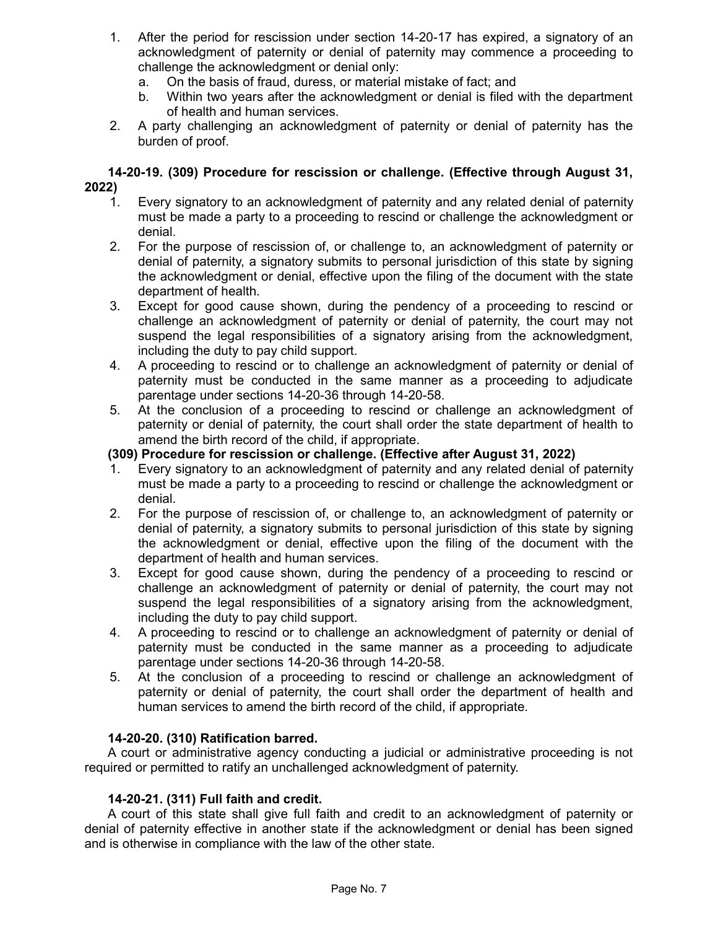- 1. After the period for rescission under section 14-20-17 has expired, a signatory of an acknowledgment of paternity or denial of paternity may commence a proceeding to challenge the acknowledgment or denial only:
	- a. On the basis of fraud, duress, or material mistake of fact; and
	- b. Within two years after the acknowledgment or denial is filed with the department of health and human services.
- 2. A party challenging an acknowledgment of paternity or denial of paternity has the burden of proof.

### **14-20-19. (309) Procedure for rescission or challenge. (Effective through August 31, 2022)**

- 1. Every signatory to an acknowledgment of paternity and any related denial of paternity must be made a party to a proceeding to rescind or challenge the acknowledgment or denial.
- 2. For the purpose of rescission of, or challenge to, an acknowledgment of paternity or denial of paternity, a signatory submits to personal jurisdiction of this state by signing the acknowledgment or denial, effective upon the filing of the document with the state department of health.
- 3. Except for good cause shown, during the pendency of a proceeding to rescind or challenge an acknowledgment of paternity or denial of paternity, the court may not suspend the legal responsibilities of a signatory arising from the acknowledgment, including the duty to pay child support.
- 4. A proceeding to rescind or to challenge an acknowledgment of paternity or denial of paternity must be conducted in the same manner as a proceeding to adjudicate parentage under sections 14-20-36 through 14-20-58.
- 5. At the conclusion of a proceeding to rescind or challenge an acknowledgment of paternity or denial of paternity, the court shall order the state department of health to amend the birth record of the child, if appropriate.

## **(309) Procedure for rescission or challenge. (Effective after August 31, 2022)**

- 1. Every signatory to an acknowledgment of paternity and any related denial of paternity must be made a party to a proceeding to rescind or challenge the acknowledgment or denial.
- 2. For the purpose of rescission of, or challenge to, an acknowledgment of paternity or denial of paternity, a signatory submits to personal jurisdiction of this state by signing the acknowledgment or denial, effective upon the filing of the document with the department of health and human services.
- 3. Except for good cause shown, during the pendency of a proceeding to rescind or challenge an acknowledgment of paternity or denial of paternity, the court may not suspend the legal responsibilities of a signatory arising from the acknowledgment, including the duty to pay child support.
- 4. A proceeding to rescind or to challenge an acknowledgment of paternity or denial of paternity must be conducted in the same manner as a proceeding to adjudicate parentage under sections 14-20-36 through 14-20-58.
- 5. At the conclusion of a proceeding to rescind or challenge an acknowledgment of paternity or denial of paternity, the court shall order the department of health and human services to amend the birth record of the child, if appropriate.

## **14-20-20. (310) Ratification barred.**

A court or administrative agency conducting a judicial or administrative proceeding is not required or permitted to ratify an unchallenged acknowledgment of paternity.

## **14-20-21. (311) Full faith and credit.**

A court of this state shall give full faith and credit to an acknowledgment of paternity or denial of paternity effective in another state if the acknowledgment or denial has been signed and is otherwise in compliance with the law of the other state.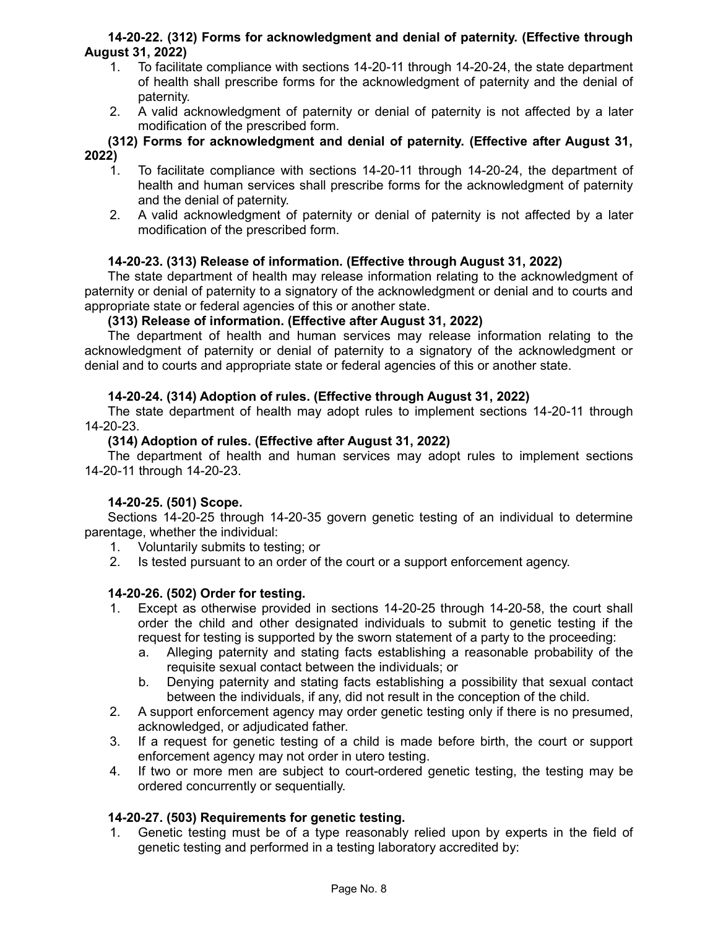### **14-20-22. (312) Forms for acknowledgment and denial of paternity. (Effective through August 31, 2022)**

- 1. To facilitate compliance with sections 14-20-11 through 14-20-24, the state department of health shall prescribe forms for the acknowledgment of paternity and the denial of paternity.
- 2. A valid acknowledgment of paternity or denial of paternity is not affected by a later modification of the prescribed form.

**(312) Forms for acknowledgment and denial of paternity. (Effective after August 31, 2022)**

- 1. To facilitate compliance with sections 14-20-11 through 14-20-24, the department of health and human services shall prescribe forms for the acknowledgment of paternity and the denial of paternity.
- 2. A valid acknowledgment of paternity or denial of paternity is not affected by a later modification of the prescribed form.

## **14-20-23. (313) Release of information. (Effective through August 31, 2022)**

The state department of health may release information relating to the acknowledgment of paternity or denial of paternity to a signatory of the acknowledgment or denial and to courts and appropriate state or federal agencies of this or another state.

### **(313) Release of information. (Effective after August 31, 2022)**

The department of health and human services may release information relating to the acknowledgment of paternity or denial of paternity to a signatory of the acknowledgment or denial and to courts and appropriate state or federal agencies of this or another state.

## **14-20-24. (314) Adoption of rules. (Effective through August 31, 2022)**

The state department of health may adopt rules to implement sections 14-20-11 through 14-20-23.

### **(314) Adoption of rules. (Effective after August 31, 2022)**

The department of health and human services may adopt rules to implement sections 14-20-11 through 14-20-23.

#### **14-20-25. (501) Scope.**

Sections 14-20-25 through 14-20-35 govern genetic testing of an individual to determine parentage, whether the individual:

- 1. Voluntarily submits to testing; or
- 2. Is tested pursuant to an order of the court or a support enforcement agency.

## **14-20-26. (502) Order for testing.**

- 1. Except as otherwise provided in sections 14-20-25 through 14-20-58, the court shall order the child and other designated individuals to submit to genetic testing if the request for testing is supported by the sworn statement of a party to the proceeding:
	- a. Alleging paternity and stating facts establishing a reasonable probability of the requisite sexual contact between the individuals; or
	- b. Denying paternity and stating facts establishing a possibility that sexual contact between the individuals, if any, did not result in the conception of the child.
- 2. A support enforcement agency may order genetic testing only if there is no presumed, acknowledged, or adjudicated father.
- 3. If a request for genetic testing of a child is made before birth, the court or support enforcement agency may not order in utero testing.
- 4. If two or more men are subject to court-ordered genetic testing, the testing may be ordered concurrently or sequentially.

## **14-20-27. (503) Requirements for genetic testing.**

1. Genetic testing must be of a type reasonably relied upon by experts in the field of genetic testing and performed in a testing laboratory accredited by: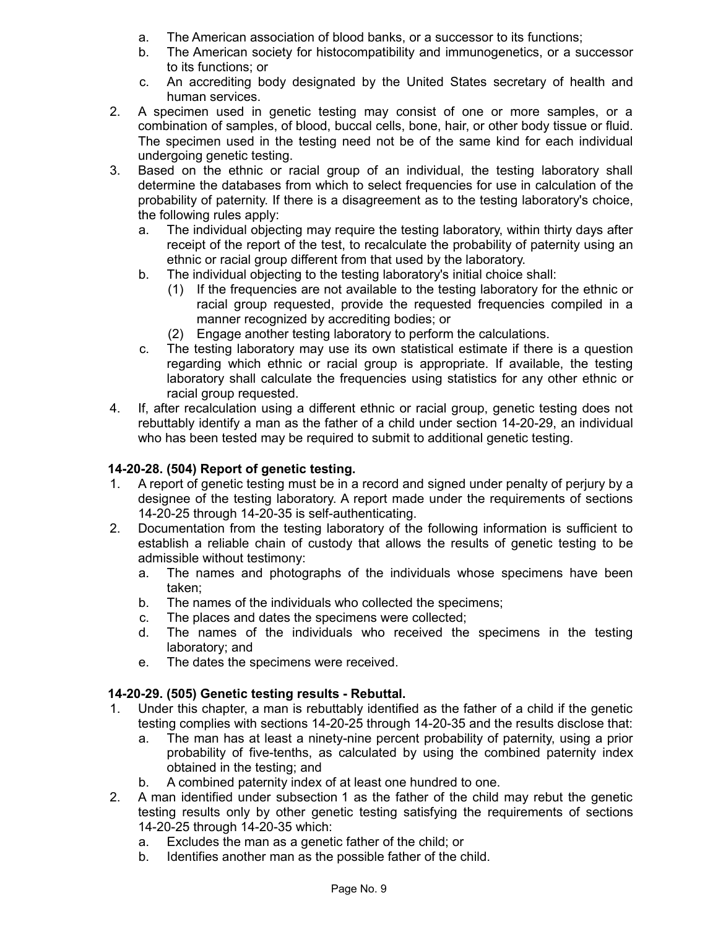- a. The American association of blood banks, or a successor to its functions;
- b. The American society for histocompatibility and immunogenetics, or a successor to its functions; or
- c. An accrediting body designated by the United States secretary of health and human services.
- 2. A specimen used in genetic testing may consist of one or more samples, or a combination of samples, of blood, buccal cells, bone, hair, or other body tissue or fluid. The specimen used in the testing need not be of the same kind for each individual undergoing genetic testing.
- 3. Based on the ethnic or racial group of an individual, the testing laboratory shall determine the databases from which to select frequencies for use in calculation of the probability of paternity. If there is a disagreement as to the testing laboratory's choice, the following rules apply:
	- a. The individual objecting may require the testing laboratory, within thirty days after receipt of the report of the test, to recalculate the probability of paternity using an ethnic or racial group different from that used by the laboratory.
	- b. The individual objecting to the testing laboratory's initial choice shall:
		- (1) If the frequencies are not available to the testing laboratory for the ethnic or racial group requested, provide the requested frequencies compiled in a manner recognized by accrediting bodies; or
		- (2) Engage another testing laboratory to perform the calculations.
	- c. The testing laboratory may use its own statistical estimate if there is a question regarding which ethnic or racial group is appropriate. If available, the testing laboratory shall calculate the frequencies using statistics for any other ethnic or racial group requested.
- 4. If, after recalculation using a different ethnic or racial group, genetic testing does not rebuttably identify a man as the father of a child under section 14-20-29, an individual who has been tested may be required to submit to additional genetic testing.

# **14-20-28. (504) Report of genetic testing.**

- 1. A report of genetic testing must be in a record and signed under penalty of perjury by a designee of the testing laboratory. A report made under the requirements of sections 14-20-25 through 14-20-35 is self-authenticating.
- 2. Documentation from the testing laboratory of the following information is sufficient to establish a reliable chain of custody that allows the results of genetic testing to be admissible without testimony:
	- a. The names and photographs of the individuals whose specimens have been taken;
	- b. The names of the individuals who collected the specimens;
	- c. The places and dates the specimens were collected;
	- d. The names of the individuals who received the specimens in the testing laboratory; and
	- e. The dates the specimens were received.

## **14-20-29. (505) Genetic testing results - Rebuttal.**

- 1. Under this chapter, a man is rebuttably identified as the father of a child if the genetic testing complies with sections 14-20-25 through 14-20-35 and the results disclose that:
	- a. The man has at least a ninety-nine percent probability of paternity, using a prior probability of five-tenths, as calculated by using the combined paternity index obtained in the testing; and
	- b. A combined paternity index of at least one hundred to one.
- 2. A man identified under subsection 1 as the father of the child may rebut the genetic testing results only by other genetic testing satisfying the requirements of sections 14-20-25 through 14-20-35 which:
	- a. Excludes the man as a genetic father of the child; or
	- b. Identifies another man as the possible father of the child.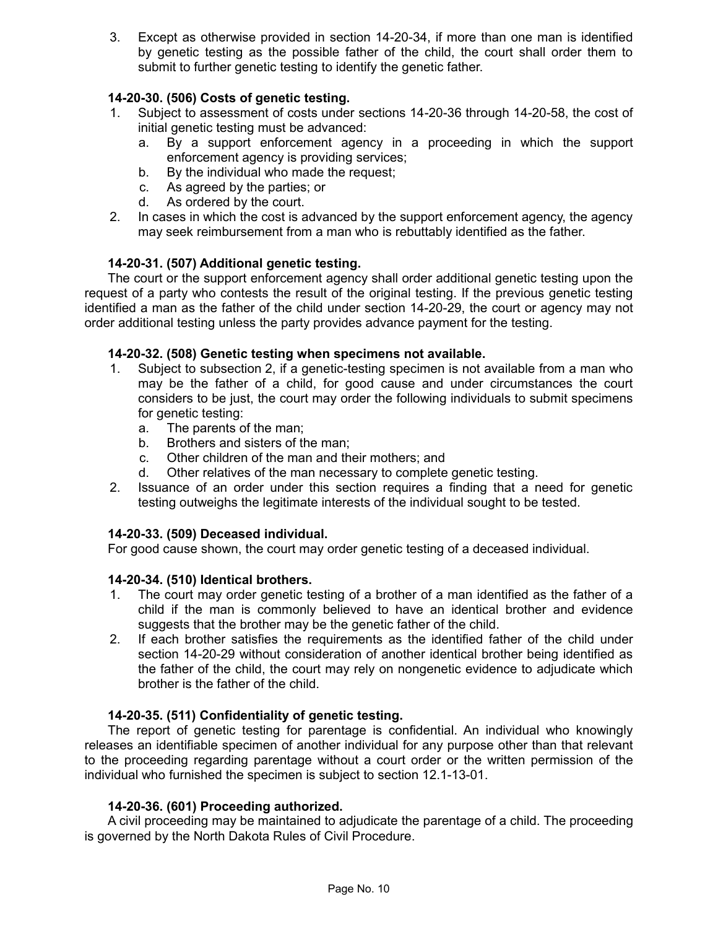3. Except as otherwise provided in section 14-20-34, if more than one man is identified by genetic testing as the possible father of the child, the court shall order them to submit to further genetic testing to identify the genetic father.

## **14-20-30. (506) Costs of genetic testing.**

- 1. Subject to assessment of costs under sections 14-20-36 through 14-20-58, the cost of initial genetic testing must be advanced:
	- a. By a support enforcement agency in a proceeding in which the support enforcement agency is providing services;
	- b. By the individual who made the request;
	- c. As agreed by the parties; or
	- d. As ordered by the court.
- 2. In cases in which the cost is advanced by the support enforcement agency, the agency may seek reimbursement from a man who is rebuttably identified as the father.

## **14-20-31. (507) Additional genetic testing.**

The court or the support enforcement agency shall order additional genetic testing upon the request of a party who contests the result of the original testing. If the previous genetic testing identified a man as the father of the child under section 14-20-29, the court or agency may not order additional testing unless the party provides advance payment for the testing.

## **14-20-32. (508) Genetic testing when specimens not available.**

- 1. Subject to subsection 2, if a genetic-testing specimen is not available from a man who may be the father of a child, for good cause and under circumstances the court considers to be just, the court may order the following individuals to submit specimens for genetic testing:
	- a. The parents of the man;
	- b. Brothers and sisters of the man;
	- c. Other children of the man and their mothers; and
	- d. Other relatives of the man necessary to complete genetic testing.
- 2. Issuance of an order under this section requires a finding that a need for genetic testing outweighs the legitimate interests of the individual sought to be tested.

## **14-20-33. (509) Deceased individual.**

For good cause shown, the court may order genetic testing of a deceased individual.

## **14-20-34. (510) Identical brothers.**

- 1. The court may order genetic testing of a brother of a man identified as the father of a child if the man is commonly believed to have an identical brother and evidence suggests that the brother may be the genetic father of the child.
- 2. If each brother satisfies the requirements as the identified father of the child under section 14-20-29 without consideration of another identical brother being identified as the father of the child, the court may rely on nongenetic evidence to adjudicate which brother is the father of the child.

## **14-20-35. (511) Confidentiality of genetic testing.**

The report of genetic testing for parentage is confidential. An individual who knowingly releases an identifiable specimen of another individual for any purpose other than that relevant to the proceeding regarding parentage without a court order or the written permission of the individual who furnished the specimen is subject to section 12.1-13-01.

### **14-20-36. (601) Proceeding authorized.**

A civil proceeding may be maintained to adjudicate the parentage of a child. The proceeding is governed by the North Dakota Rules of Civil Procedure.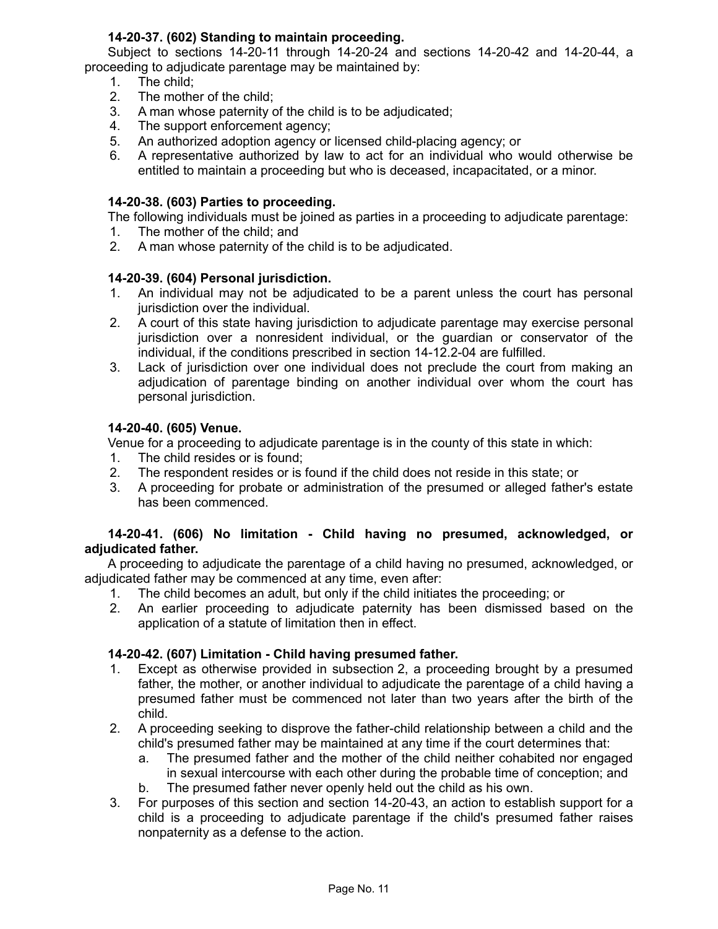## **14-20-37. (602) Standing to maintain proceeding.**

Subject to sections 14-20-11 through 14-20-24 and sections 14-20-42 and 14-20-44, a proceeding to adjudicate parentage may be maintained by:

- 1. The child;
- 2. The mother of the child;
- 3. A man whose paternity of the child is to be adjudicated;
- 4. The support enforcement agency;
- 5. An authorized adoption agency or licensed child-placing agency; or
- 6. A representative authorized by law to act for an individual who would otherwise be entitled to maintain a proceeding but who is deceased, incapacitated, or a minor.

#### **14-20-38. (603) Parties to proceeding.**

The following individuals must be joined as parties in a proceeding to adjudicate parentage:

- 1. The mother of the child; and
- 2. A man whose paternity of the child is to be adjudicated.

### **14-20-39. (604) Personal jurisdiction.**

- 1. An individual may not be adjudicated to be a parent unless the court has personal jurisdiction over the individual.
- 2. A court of this state having jurisdiction to adjudicate parentage may exercise personal jurisdiction over a nonresident individual, or the guardian or conservator of the individual, if the conditions prescribed in section 14-12.2-04 are fulfilled.
- 3. Lack of jurisdiction over one individual does not preclude the court from making an adjudication of parentage binding on another individual over whom the court has personal jurisdiction.

#### **14-20-40. (605) Venue.**

Venue for a proceeding to adjudicate parentage is in the county of this state in which:

- 1. The child resides or is found;
- 2. The respondent resides or is found if the child does not reside in this state; or
- 3. A proceeding for probate or administration of the presumed or alleged father's estate has been commenced.

### **14-20-41. (606) No limitation - Child having no presumed, acknowledged, or adjudicated father.**

A proceeding to adjudicate the parentage of a child having no presumed, acknowledged, or adjudicated father may be commenced at any time, even after:

- 1. The child becomes an adult, but only if the child initiates the proceeding; or
- 2. An earlier proceeding to adjudicate paternity has been dismissed based on the application of a statute of limitation then in effect.

#### **14-20-42. (607) Limitation - Child having presumed father.**

- 1. Except as otherwise provided in subsection 2, a proceeding brought by a presumed father, the mother, or another individual to adjudicate the parentage of a child having a presumed father must be commenced not later than two years after the birth of the child.
- 2. A proceeding seeking to disprove the father-child relationship between a child and the child's presumed father may be maintained at any time if the court determines that:
	- a. The presumed father and the mother of the child neither cohabited nor engaged in sexual intercourse with each other during the probable time of conception; and
	- b. The presumed father never openly held out the child as his own.
- 3. For purposes of this section and section 14-20-43, an action to establish support for a child is a proceeding to adjudicate parentage if the child's presumed father raises nonpaternity as a defense to the action.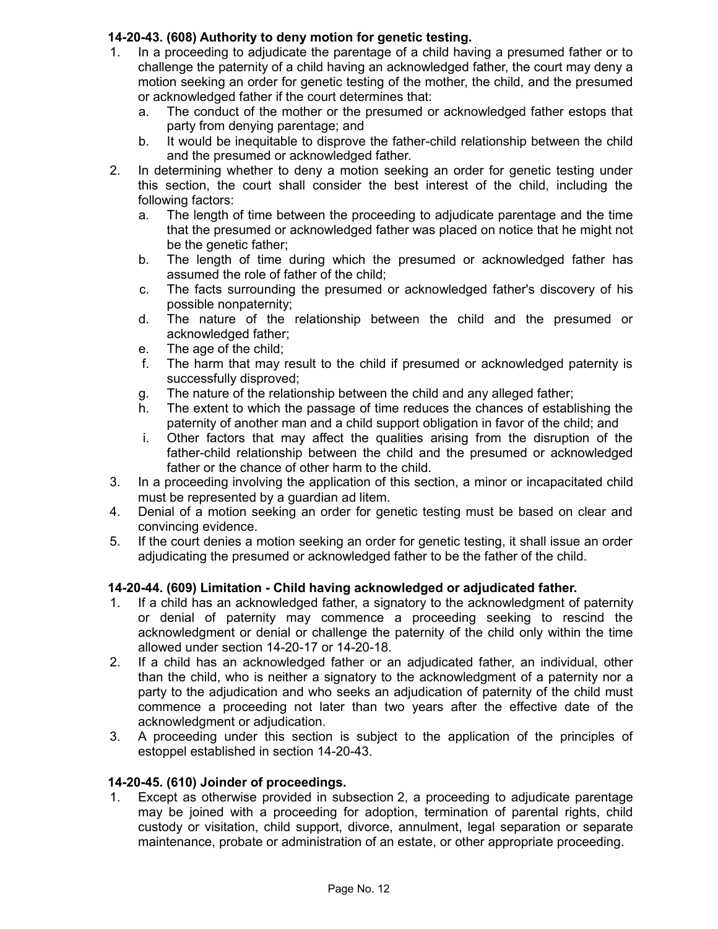## **14-20-43. (608) Authority to deny motion for genetic testing.**

- 1. In a proceeding to adjudicate the parentage of a child having a presumed father or to challenge the paternity of a child having an acknowledged father, the court may deny a motion seeking an order for genetic testing of the mother, the child, and the presumed or acknowledged father if the court determines that:
	- a. The conduct of the mother or the presumed or acknowledged father estops that party from denying parentage; and
	- b. It would be inequitable to disprove the father-child relationship between the child and the presumed or acknowledged father.
- 2. In determining whether to deny a motion seeking an order for genetic testing under this section, the court shall consider the best interest of the child, including the following factors:
	- a. The length of time between the proceeding to adjudicate parentage and the time that the presumed or acknowledged father was placed on notice that he might not be the genetic father;
	- b. The length of time during which the presumed or acknowledged father has assumed the role of father of the child;
	- c. The facts surrounding the presumed or acknowledged father's discovery of his possible nonpaternity;
	- d. The nature of the relationship between the child and the presumed or acknowledged father;
	- e. The age of the child;
	- f. The harm that may result to the child if presumed or acknowledged paternity is successfully disproved;
	- g. The nature of the relationship between the child and any alleged father;
	- h. The extent to which the passage of time reduces the chances of establishing the paternity of another man and a child support obligation in favor of the child; and
	- i. Other factors that may affect the qualities arising from the disruption of the father-child relationship between the child and the presumed or acknowledged father or the chance of other harm to the child.
- 3. In a proceeding involving the application of this section, a minor or incapacitated child must be represented by a guardian ad litem.
- 4. Denial of a motion seeking an order for genetic testing must be based on clear and convincing evidence.
- 5. If the court denies a motion seeking an order for genetic testing, it shall issue an order adjudicating the presumed or acknowledged father to be the father of the child.

# **14-20-44. (609) Limitation - Child having acknowledged or adjudicated father.**

- 1. If a child has an acknowledged father, a signatory to the acknowledgment of paternity or denial of paternity may commence a proceeding seeking to rescind the acknowledgment or denial or challenge the paternity of the child only within the time allowed under section 14-20-17 or 14-20-18.
- 2. If a child has an acknowledged father or an adjudicated father, an individual, other than the child, who is neither a signatory to the acknowledgment of a paternity nor a party to the adjudication and who seeks an adjudication of paternity of the child must commence a proceeding not later than two years after the effective date of the acknowledgment or adjudication.
- 3. A proceeding under this section is subject to the application of the principles of estoppel established in section 14-20-43.

## **14-20-45. (610) Joinder of proceedings.**

1. Except as otherwise provided in subsection 2, a proceeding to adjudicate parentage may be joined with a proceeding for adoption, termination of parental rights, child custody or visitation, child support, divorce, annulment, legal separation or separate maintenance, probate or administration of an estate, or other appropriate proceeding.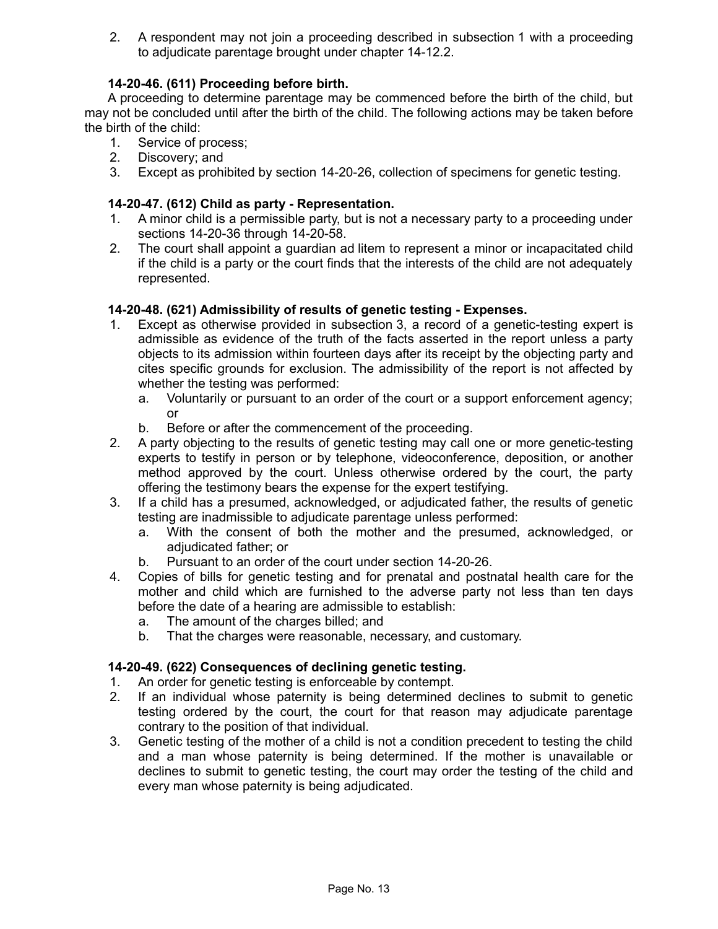2. A respondent may not join a proceeding described in subsection 1 with a proceeding to adjudicate parentage brought under chapter 14-12.2.

## **14-20-46. (611) Proceeding before birth.**

A proceeding to determine parentage may be commenced before the birth of the child, but may not be concluded until after the birth of the child. The following actions may be taken before the birth of the child:

- 1. Service of process;
- 2. Discovery; and
- 3. Except as prohibited by section 14-20-26, collection of specimens for genetic testing.

## **14-20-47. (612) Child as party - Representation.**

- 1. A minor child is a permissible party, but is not a necessary party to a proceeding under sections 14-20-36 through 14-20-58.
- 2. The court shall appoint a guardian ad litem to represent a minor or incapacitated child if the child is a party or the court finds that the interests of the child are not adequately represented.

## **14-20-48. (621) Admissibility of results of genetic testing - Expenses.**

- 1. Except as otherwise provided in subsection 3, a record of a genetic-testing expert is admissible as evidence of the truth of the facts asserted in the report unless a party objects to its admission within fourteen days after its receipt by the objecting party and cites specific grounds for exclusion. The admissibility of the report is not affected by whether the testing was performed:
	- a. Voluntarily or pursuant to an order of the court or a support enforcement agency; or
	- b. Before or after the commencement of the proceeding.
- 2. A party objecting to the results of genetic testing may call one or more genetic-testing experts to testify in person or by telephone, videoconference, deposition, or another method approved by the court. Unless otherwise ordered by the court, the party offering the testimony bears the expense for the expert testifying.
- 3. If a child has a presumed, acknowledged, or adjudicated father, the results of genetic testing are inadmissible to adjudicate parentage unless performed:
	- a. With the consent of both the mother and the presumed, acknowledged, or adjudicated father; or
	- b. Pursuant to an order of the court under section 14-20-26.
- 4. Copies of bills for genetic testing and for prenatal and postnatal health care for the mother and child which are furnished to the adverse party not less than ten days before the date of a hearing are admissible to establish:
	- a. The amount of the charges billed; and
	- b. That the charges were reasonable, necessary, and customary.

## **14-20-49. (622) Consequences of declining genetic testing.**

- 1. An order for genetic testing is enforceable by contempt.
- 2. If an individual whose paternity is being determined declines to submit to genetic testing ordered by the court, the court for that reason may adjudicate parentage contrary to the position of that individual.
- 3. Genetic testing of the mother of a child is not a condition precedent to testing the child and a man whose paternity is being determined. If the mother is unavailable or declines to submit to genetic testing, the court may order the testing of the child and every man whose paternity is being adjudicated.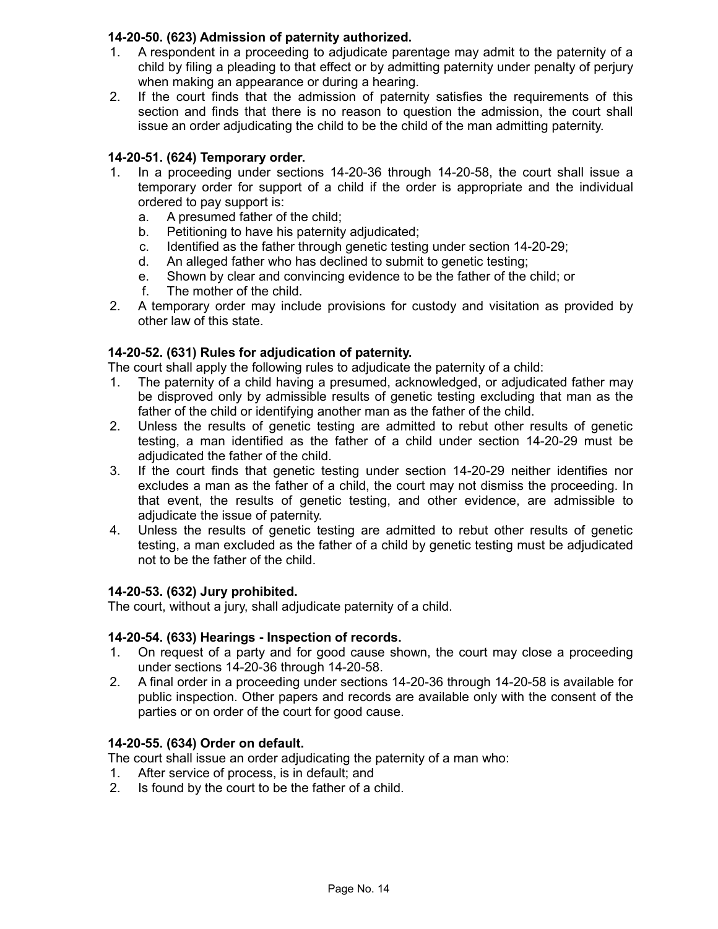## **14-20-50. (623) Admission of paternity authorized.**

- 1. A respondent in a proceeding to adjudicate parentage may admit to the paternity of a child by filing a pleading to that effect or by admitting paternity under penalty of perjury when making an appearance or during a hearing.
- 2. If the court finds that the admission of paternity satisfies the requirements of this section and finds that there is no reason to question the admission, the court shall issue an order adjudicating the child to be the child of the man admitting paternity.

# **14-20-51. (624) Temporary order.**

- 1. In a proceeding under sections 14-20-36 through 14-20-58, the court shall issue a temporary order for support of a child if the order is appropriate and the individual ordered to pay support is:
	- a. A presumed father of the child;
	- b. Petitioning to have his paternity adjudicated;
	- c. Identified as the father through genetic testing under section 14-20-29;
	- d. An alleged father who has declined to submit to genetic testing;
	- e. Shown by clear and convincing evidence to be the father of the child; or
	- f. The mother of the child.
- 2. A temporary order may include provisions for custody and visitation as provided by other law of this state.

## **14-20-52. (631) Rules for adjudication of paternity.**

The court shall apply the following rules to adjudicate the paternity of a child:

- 1. The paternity of a child having a presumed, acknowledged, or adjudicated father may be disproved only by admissible results of genetic testing excluding that man as the father of the child or identifying another man as the father of the child.
- 2. Unless the results of genetic testing are admitted to rebut other results of genetic testing, a man identified as the father of a child under section 14-20-29 must be adjudicated the father of the child.
- 3. If the court finds that genetic testing under section 14-20-29 neither identifies nor excludes a man as the father of a child, the court may not dismiss the proceeding. In that event, the results of genetic testing, and other evidence, are admissible to adjudicate the issue of paternity.
- 4. Unless the results of genetic testing are admitted to rebut other results of genetic testing, a man excluded as the father of a child by genetic testing must be adjudicated not to be the father of the child.

## **14-20-53. (632) Jury prohibited.**

The court, without a jury, shall adjudicate paternity of a child.

#### **14-20-54. (633) Hearings - Inspection of records.**

- 1. On request of a party and for good cause shown, the court may close a proceeding under sections 14-20-36 through 14-20-58.
- 2. A final order in a proceeding under sections 14-20-36 through 14-20-58 is available for public inspection. Other papers and records are available only with the consent of the parties or on order of the court for good cause.

## **14-20-55. (634) Order on default.**

The court shall issue an order adjudicating the paternity of a man who:

- 1. After service of process, is in default; and
- 2. Is found by the court to be the father of a child.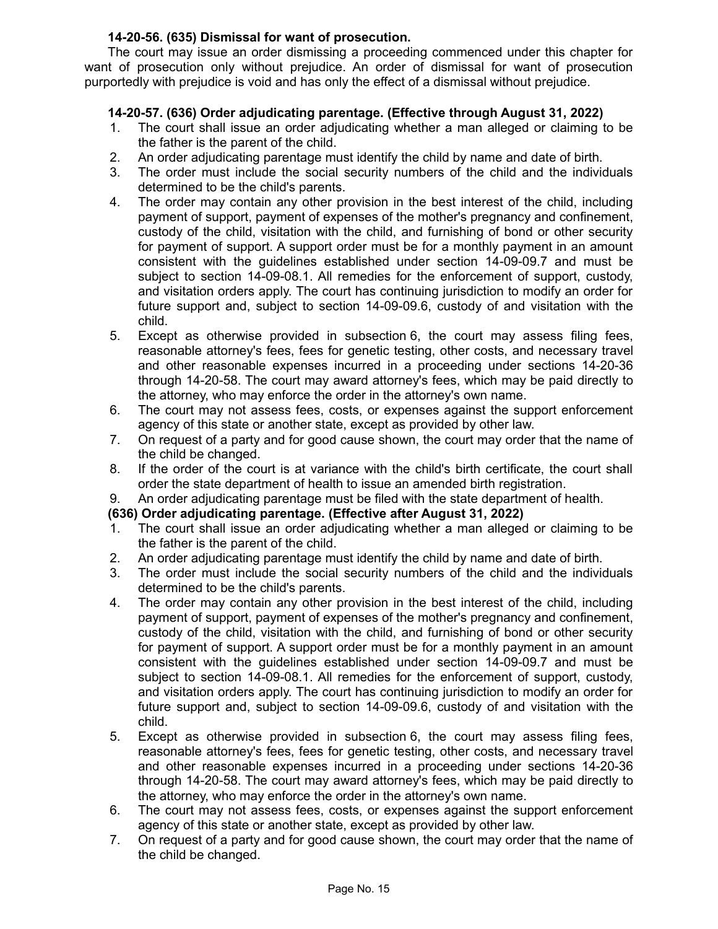## **14-20-56. (635) Dismissal for want of prosecution.**

The court may issue an order dismissing a proceeding commenced under this chapter for want of prosecution only without prejudice. An order of dismissal for want of prosecution purportedly with prejudice is void and has only the effect of a dismissal without prejudice.

# **14-20-57. (636) Order adjudicating parentage. (Effective through August 31, 2022)**

- 1. The court shall issue an order adjudicating whether a man alleged or claiming to be the father is the parent of the child.
- 2. An order adjudicating parentage must identify the child by name and date of birth.
- 3. The order must include the social security numbers of the child and the individuals determined to be the child's parents.
- 4. The order may contain any other provision in the best interest of the child, including payment of support, payment of expenses of the mother's pregnancy and confinement, custody of the child, visitation with the child, and furnishing of bond or other security for payment of support. A support order must be for a monthly payment in an amount consistent with the guidelines established under section 14-09-09.7 and must be subject to section 14-09-08.1. All remedies for the enforcement of support, custody, and visitation orders apply. The court has continuing jurisdiction to modify an order for future support and, subject to section 14-09-09.6, custody of and visitation with the child.
- 5. Except as otherwise provided in subsection 6, the court may assess filing fees, reasonable attorney's fees, fees for genetic testing, other costs, and necessary travel and other reasonable expenses incurred in a proceeding under sections 14-20-36 through 14-20-58. The court may award attorney's fees, which may be paid directly to the attorney, who may enforce the order in the attorney's own name.
- 6. The court may not assess fees, costs, or expenses against the support enforcement agency of this state or another state, except as provided by other law.
- 7. On request of a party and for good cause shown, the court may order that the name of the child be changed.
- 8. If the order of the court is at variance with the child's birth certificate, the court shall order the state department of health to issue an amended birth registration.
- 9. An order adjudicating parentage must be filed with the state department of health.

## **(636) Order adjudicating parentage. (Effective after August 31, 2022)**

- 1. The court shall issue an order adjudicating whether a man alleged or claiming to be the father is the parent of the child.
- 2. An order adjudicating parentage must identify the child by name and date of birth.
- 3. The order must include the social security numbers of the child and the individuals determined to be the child's parents.
- 4. The order may contain any other provision in the best interest of the child, including payment of support, payment of expenses of the mother's pregnancy and confinement, custody of the child, visitation with the child, and furnishing of bond or other security for payment of support. A support order must be for a monthly payment in an amount consistent with the guidelines established under section 14-09-09.7 and must be subject to section 14-09-08.1. All remedies for the enforcement of support, custody, and visitation orders apply. The court has continuing jurisdiction to modify an order for future support and, subject to section 14-09-09.6, custody of and visitation with the child.
- 5. Except as otherwise provided in subsection 6, the court may assess filing fees, reasonable attorney's fees, fees for genetic testing, other costs, and necessary travel and other reasonable expenses incurred in a proceeding under sections 14-20-36 through 14-20-58. The court may award attorney's fees, which may be paid directly to the attorney, who may enforce the order in the attorney's own name.
- 6. The court may not assess fees, costs, or expenses against the support enforcement agency of this state or another state, except as provided by other law.
- 7. On request of a party and for good cause shown, the court may order that the name of the child be changed.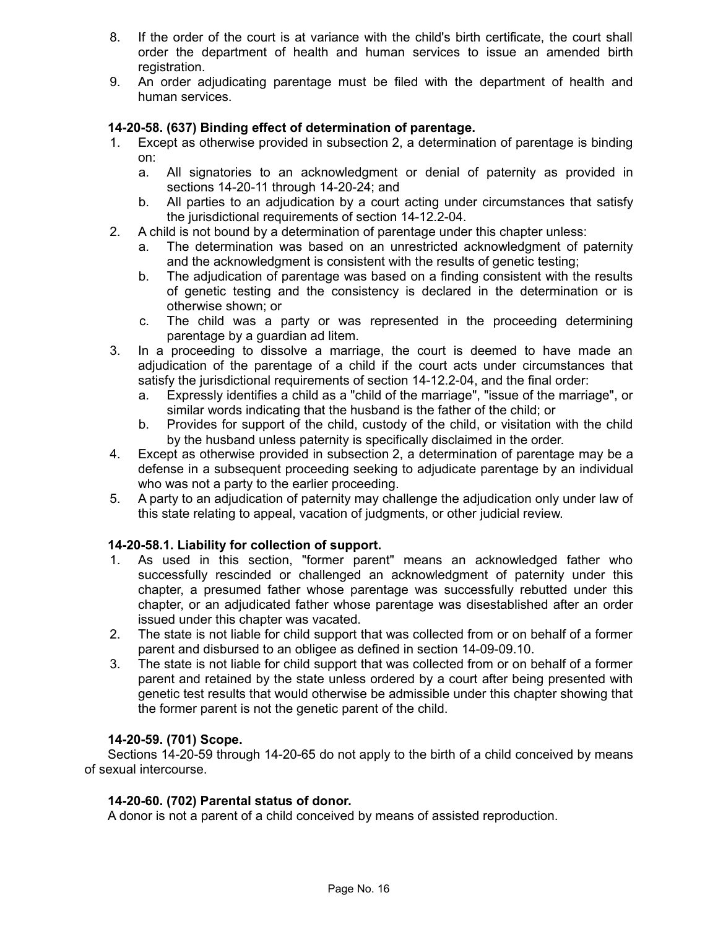- 8. If the order of the court is at variance with the child's birth certificate, the court shall order the department of health and human services to issue an amended birth registration.
- 9. An order adjudicating parentage must be filed with the department of health and human services.

## **14-20-58. (637) Binding effect of determination of parentage.**

- 1. Except as otherwise provided in subsection 2, a determination of parentage is binding on:
	- a. All signatories to an acknowledgment or denial of paternity as provided in sections 14-20-11 through 14-20-24; and
	- b. All parties to an adjudication by a court acting under circumstances that satisfy the jurisdictional requirements of section 14-12.2-04.
- 2. A child is not bound by a determination of parentage under this chapter unless:
	- a. The determination was based on an unrestricted acknowledgment of paternity and the acknowledgment is consistent with the results of genetic testing;
	- b. The adjudication of parentage was based on a finding consistent with the results of genetic testing and the consistency is declared in the determination or is otherwise shown; or
	- c. The child was a party or was represented in the proceeding determining parentage by a guardian ad litem.
- 3. In a proceeding to dissolve a marriage, the court is deemed to have made an adjudication of the parentage of a child if the court acts under circumstances that satisfy the jurisdictional requirements of section 14-12.2-04, and the final order:
	- a. Expressly identifies a child as a "child of the marriage", "issue of the marriage", or similar words indicating that the husband is the father of the child; or
	- b. Provides for support of the child, custody of the child, or visitation with the child by the husband unless paternity is specifically disclaimed in the order.
- 4. Except as otherwise provided in subsection 2, a determination of parentage may be a defense in a subsequent proceeding seeking to adjudicate parentage by an individual who was not a party to the earlier proceeding.
- 5. A party to an adjudication of paternity may challenge the adjudication only under law of this state relating to appeal, vacation of judgments, or other judicial review.

## **14-20-58.1. Liability for collection of support.**

- 1. As used in this section, "former parent" means an acknowledged father who successfully rescinded or challenged an acknowledgment of paternity under this chapter, a presumed father whose parentage was successfully rebutted under this chapter, or an adjudicated father whose parentage was disestablished after an order issued under this chapter was vacated.
- 2. The state is not liable for child support that was collected from or on behalf of a former parent and disbursed to an obligee as defined in section 14-09-09.10.
- 3. The state is not liable for child support that was collected from or on behalf of a former parent and retained by the state unless ordered by a court after being presented with genetic test results that would otherwise be admissible under this chapter showing that the former parent is not the genetic parent of the child.

## **14-20-59. (701) Scope.**

Sections 14-20-59 through 14-20-65 do not apply to the birth of a child conceived by means of sexual intercourse.

#### **14-20-60. (702) Parental status of donor.**

A donor is not a parent of a child conceived by means of assisted reproduction.